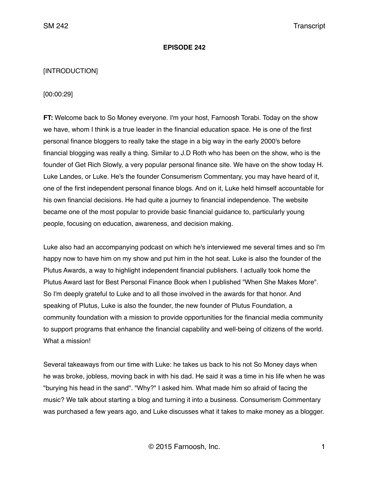#### **EPISODE 242**

#### [INTRODUCTION]

#### [00:00:29]

**FT:** Welcome back to So Money everyone. I'm your host, Farnoosh Torabi. Today on the show we have, whom I think is a true leader in the financial education space. He is one of the first personal finance bloggers to really take the stage in a big way in the early 2000's before financial blogging was really a thing. Similar to J.D Roth who has been on the show, who is the founder of Get Rich Slowly, a very popular personal finance site. We have on the show today H. Luke Landes, or Luke. He's the founder Consumerism Commentary, you may have heard of it, one of the first independent personal finance blogs. And on it, Luke held himself accountable for his own financial decisions. He had quite a journey to financial independence. The website became one of the most popular to provide basic financial guidance to, particularly young people, focusing on education, awareness, and decision making.

Luke also had an accompanying podcast on which he's interviewed me several times and so I'm happy now to have him on my show and put him in the hot seat. Luke is also the founder of the Plutus Awards, a way to highlight independent financial publishers. I actually took home the Plutus Award last for Best Personal Finance Book when I published "When She Makes More". So I'm deeply grateful to Luke and to all those involved in the awards for that honor. And speaking of Plutus, Luke is also the founder, the new founder of Plutus Foundation, a community foundation with a mission to provide opportunities for the financial media community to support programs that enhance the financial capability and well-being of citizens of the world. What a mission!

Several takeaways from our time with Luke: he takes us back to his not So Money days when he was broke, jobless, moving back in with his dad. He said it was a time in his life when he was "burying his head in the sand". "Why?" I asked him. What made him so afraid of facing the music? We talk about starting a blog and turning it into a business. Consumerism Commentary was purchased a few years ago, and Luke discusses what it takes to make money as a blogger.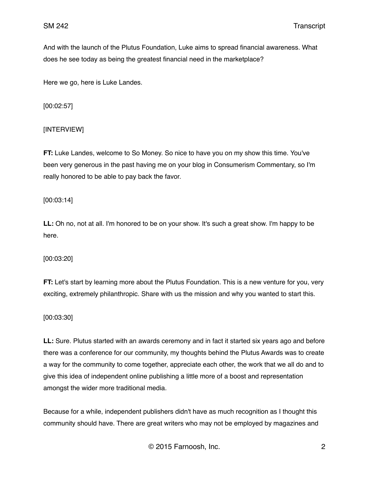And with the launch of the Plutus Foundation, Luke aims to spread financial awareness. What does he see today as being the greatest financial need in the marketplace?

Here we go, here is Luke Landes.

[00:02:57]

## [INTERVIEW]

**FT:** Luke Landes, welcome to So Money. So nice to have you on my show this time. You've been very generous in the past having me on your blog in Consumerism Commentary, so I'm really honored to be able to pay back the favor.

[00:03:14]

**LL:** Oh no, not at all. I'm honored to be on your show. It's such a great show. I'm happy to be here.

[00:03:20]

**FT:** Let's start by learning more about the Plutus Foundation. This is a new venture for you, very exciting, extremely philanthropic. Share with us the mission and why you wanted to start this.

[00:03:30]

**LL:** Sure. Plutus started with an awards ceremony and in fact it started six years ago and before there was a conference for our community, my thoughts behind the Plutus Awards was to create a way for the community to come together, appreciate each other, the work that we all do and to give this idea of independent online publishing a little more of a boost and representation amongst the wider more traditional media.

Because for a while, independent publishers didn't have as much recognition as I thought this community should have. There are great writers who may not be employed by magazines and

© 2015 Farnoosh, Inc. 2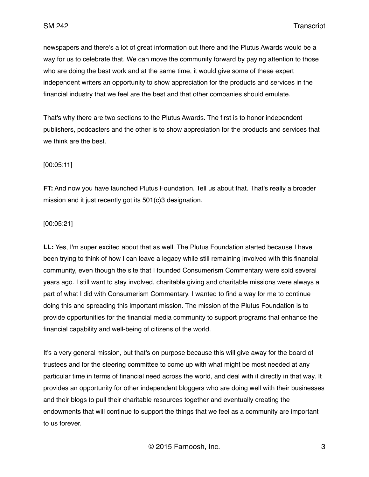newspapers and there's a lot of great information out there and the Plutus Awards would be a way for us to celebrate that. We can move the community forward by paying attention to those who are doing the best work and at the same time, it would give some of these expert independent writers an opportunity to show appreciation for the products and services in the financial industry that we feel are the best and that other companies should emulate.

That's why there are two sections to the Plutus Awards. The first is to honor independent publishers, podcasters and the other is to show appreciation for the products and services that we think are the best.

# [00:05:11]

**FT:** And now you have launched Plutus Foundation. Tell us about that. That's really a broader mission and it just recently got its 501(c)3 designation.

## [00:05:21]

**LL:** Yes, I'm super excited about that as well. The Plutus Foundation started because I have been trying to think of how I can leave a legacy while still remaining involved with this financial community, even though the site that I founded Consumerism Commentary were sold several years ago. I still want to stay involved, charitable giving and charitable missions were always a part of what I did with Consumerism Commentary. I wanted to find a way for me to continue doing this and spreading this important mission. The mission of the Plutus Foundation is to provide opportunities for the financial media community to support programs that enhance the financial capability and well-being of citizens of the world.

It's a very general mission, but that's on purpose because this will give away for the board of trustees and for the steering committee to come up with what might be most needed at any particular time in terms of financial need across the world, and deal with it directly in that way. It provides an opportunity for other independent bloggers who are doing well with their businesses and their blogs to pull their charitable resources together and eventually creating the endowments that will continue to support the things that we feel as a community are important to us forever.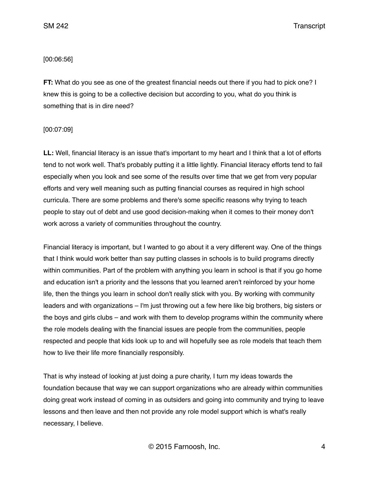SM 242 Transcript

### [00:06:56]

**FT:** What do you see as one of the greatest financial needs out there if you had to pick one? I knew this is going to be a collective decision but according to you, what do you think is something that is in dire need?

#### [00:07:09]

**LL:** Well, financial literacy is an issue that's important to my heart and I think that a lot of efforts tend to not work well. That's probably putting it a little lightly. Financial literacy efforts tend to fail especially when you look and see some of the results over time that we get from very popular efforts and very well meaning such as putting financial courses as required in high school curricula. There are some problems and there's some specific reasons why trying to teach people to stay out of debt and use good decision-making when it comes to their money don't work across a variety of communities throughout the country.

Financial literacy is important, but I wanted to go about it a very different way. One of the things that I think would work better than say putting classes in schools is to build programs directly within communities. Part of the problem with anything you learn in school is that if you go home and education isn't a priority and the lessons that you learned aren't reinforced by your home life, then the things you learn in school don't really stick with you. By working with community leaders and with organizations – I'm just throwing out a few here like big brothers, big sisters or the boys and girls clubs – and work with them to develop programs within the community where the role models dealing with the financial issues are people from the communities, people respected and people that kids look up to and will hopefully see as role models that teach them how to live their life more financially responsibly.

That is why instead of looking at just doing a pure charity, I turn my ideas towards the foundation because that way we can support organizations who are already within communities doing great work instead of coming in as outsiders and going into community and trying to leave lessons and then leave and then not provide any role model support which is what's really necessary, I believe.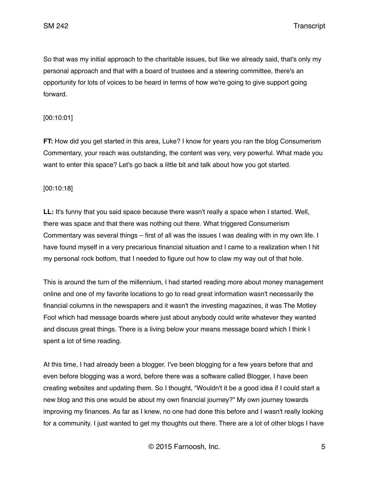SM 242 Transcript

So that was my initial approach to the charitable issues, but like we already said, that's only my personal approach and that with a board of trustees and a steering committee, there's an opportunity for lots of voices to be heard in terms of how we're going to give support going forward.

## [00:10:01]

**FT:** How did you get started in this area, Luke? I know for years you ran the blog Consumerism Commentary, your reach was outstanding, the content was very, very powerful. What made you want to enter this space? Let's go back a little bit and talk about how you got started.

## [00:10:18]

**LL:** It's funny that you said space because there wasn't really a space when I started. Well, there was space and that there was nothing out there. What triggered Consumerism Commentary was several things – first of all was the issues I was dealing with in my own life. I have found myself in a very precarious financial situation and I came to a realization when I hit my personal rock bottom, that I needed to figure out how to claw my way out of that hole.

This is around the turn of the millennium, I had started reading more about money management online and one of my favorite locations to go to read great information wasn't necessarily the financial columns in the newspapers and it wasn't the investing magazines, it was The Motley Fool which had message boards where just about anybody could write whatever they wanted and discuss great things. There is a living below your means message board which I think I spent a lot of time reading.

At this time, I had already been a blogger. I've been blogging for a few years before that and even before blogging was a word, before there was a software called Blogger, I have been creating websites and updating them. So I thought, "Wouldn't it be a good idea if I could start a new blog and this one would be about my own financial journey?" My own journey towards improving my finances. As far as I knew, no one had done this before and I wasn't really looking for a community. I just wanted to get my thoughts out there. There are a lot of other blogs I have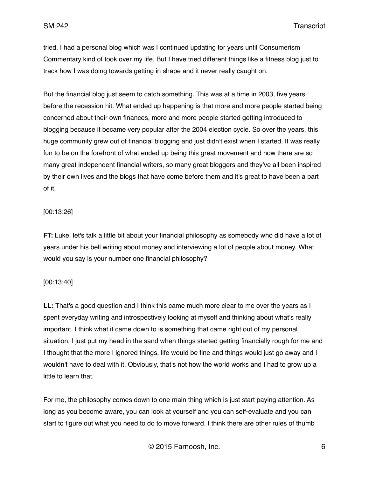SM 242 Transcript

tried. I had a personal blog which was I continued updating for years until Consumerism Commentary kind of took over my life. But I have tried different things like a fitness blog just to track how I was doing towards getting in shape and it never really caught on.

But the financial blog just seem to catch something. This was at a time in 2003, five years before the recession hit. What ended up happening is that more and more people started being concerned about their own finances, more and more people started getting introduced to blogging because it became very popular after the 2004 election cycle. So over the years, this huge community grew out of financial blogging and just didn't exist when I started. It was really fun to be on the forefront of what ended up being this great movement and now there are so many great independent financial writers, so many great bloggers and they've all been inspired by their own lives and the blogs that have come before them and it's great to have been a part of it.

### [00:13:26]

**FT:** Luke, let's talk a little bit about your financial philosophy as somebody who did have a lot of years under his bell writing about money and interviewing a lot of people about money. What would you say is your number one financial philosophy?

#### [00:13:40]

**LL:** That's a good question and I think this came much more clear to me over the years as I spent everyday writing and introspectively looking at myself and thinking about what's really important. I think what it came down to is something that came right out of my personal situation. I just put my head in the sand when things started getting financially rough for me and I thought that the more I ignored things, life would be fine and things would just go away and I wouldn't have to deal with it. Obviously, that's not how the world works and I had to grow up a little to learn that.

For me, the philosophy comes down to one main thing which is just start paying attention. As long as you become aware, you can look at yourself and you can self-evaluate and you can start to figure out what you need to do to move forward. I think there are other rules of thumb

© 2015 Farnoosh, Inc. 6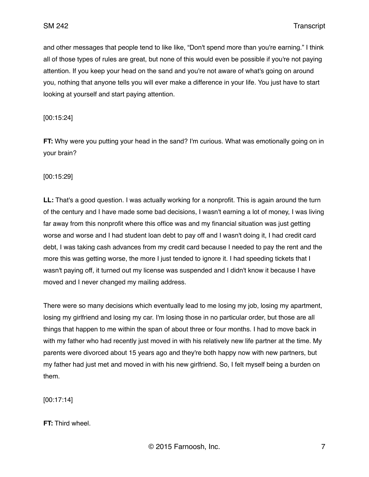and other messages that people tend to like like, "Don't spend more than you're earning." I think all of those types of rules are great, but none of this would even be possible if you're not paying attention. If you keep your head on the sand and you're not aware of what's going on around you, nothing that anyone tells you will ever make a difference in your life. You just have to start looking at yourself and start paying attention.

[00:15:24]

**FT:** Why were you putting your head in the sand? I'm curious. What was emotionally going on in your brain?

[00:15:29]

**LL:** That's a good question. I was actually working for a nonprofit. This is again around the turn of the century and I have made some bad decisions, I wasn't earning a lot of money, I was living far away from this nonprofit where this office was and my financial situation was just getting worse and worse and I had student loan debt to pay off and I wasn't doing it, I had credit card debt, I was taking cash advances from my credit card because I needed to pay the rent and the more this was getting worse, the more I just tended to ignore it. I had speeding tickets that I wasn't paying off, it turned out my license was suspended and I didn't know it because I have moved and I never changed my mailing address.

There were so many decisions which eventually lead to me losing my job, losing my apartment, losing my girlfriend and losing my car. I'm losing those in no particular order, but those are all things that happen to me within the span of about three or four months. I had to move back in with my father who had recently just moved in with his relatively new life partner at the time. My parents were divorced about 15 years ago and they're both happy now with new partners, but my father had just met and moved in with his new girlfriend. So, I felt myself being a burden on them.

[00:17:14]

**FT:** Third wheel.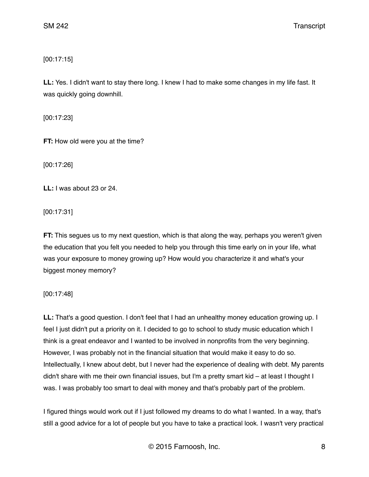[00:17:15]

**LL:** Yes. I didn't want to stay there long. I knew I had to make some changes in my life fast. It was quickly going downhill.

[00:17:23]

**FT:** How old were you at the time?

[00:17:26]

**LL:** I was about 23 or 24.

[00:17:31]

**FT:** This segues us to my next question, which is that along the way, perhaps you weren't given the education that you felt you needed to help you through this time early on in your life, what was your exposure to money growing up? How would you characterize it and what's your biggest money memory?

[00:17:48]

**LL:** That's a good question. I don't feel that I had an unhealthy money education growing up. I feel I just didn't put a priority on it. I decided to go to school to study music education which I think is a great endeavor and I wanted to be involved in nonprofits from the very beginning. However, I was probably not in the financial situation that would make it easy to do so. Intellectually, I knew about debt, but I never had the experience of dealing with debt. My parents didn't share with me their own financial issues, but I'm a pretty smart kid – at least I thought I was. I was probably too smart to deal with money and that's probably part of the problem.

I figured things would work out if I just followed my dreams to do what I wanted. In a way, that's still a good advice for a lot of people but you have to take a practical look. I wasn't very practical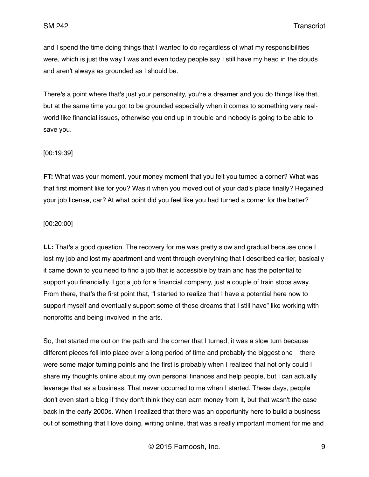and I spend the time doing things that I wanted to do regardless of what my responsibilities were, which is just the way I was and even today people say I still have my head in the clouds and aren't always as grounded as I should be.

There's a point where that's just your personality, you're a dreamer and you do things like that, but at the same time you got to be grounded especially when it comes to something very realworld like financial issues, otherwise you end up in trouble and nobody is going to be able to save you.

#### [00:19:39]

**FT:** What was your moment, your money moment that you felt you turned a corner? What was that first moment like for you? Was it when you moved out of your dad's place finally? Regained your job license, car? At what point did you feel like you had turned a corner for the better?

## [00:20:00]

**LL:** That's a good question. The recovery for me was pretty slow and gradual because once I lost my job and lost my apartment and went through everything that I described earlier, basically it came down to you need to find a job that is accessible by train and has the potential to support you financially. I got a job for a financial company, just a couple of train stops away. From there, that's the first point that, "I started to realize that I have a potential here now to support myself and eventually support some of these dreams that I still have" like working with nonprofits and being involved in the arts.

So, that started me out on the path and the corner that I turned, it was a slow turn because different pieces fell into place over a long period of time and probably the biggest one – there were some major turning points and the first is probably when I realized that not only could I share my thoughts online about my own personal finances and help people, but I can actually leverage that as a business. That never occurred to me when I started. These days, people don't even start a blog if they don't think they can earn money from it, but that wasn't the case back in the early 2000s. When I realized that there was an opportunity here to build a business out of something that I love doing, writing online, that was a really important moment for me and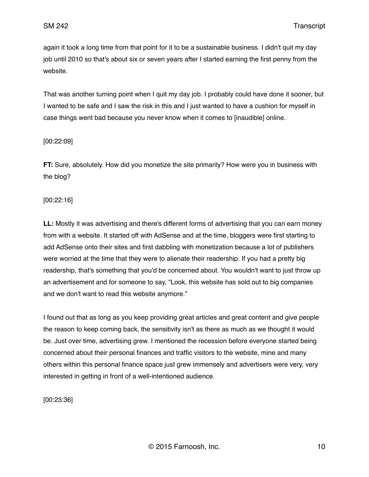again it took a long time from that point for it to be a sustainable business. I didn't quit my day job until 2010 so that's about six or seven years after I started earning the first penny from the website.

That was another turning point when I quit my day job. I probably could have done it sooner, but I wanted to be safe and I saw the risk in this and I just wanted to have a cushion for myself in case things went bad because you never know when it comes to [inaudible] online.

## [00:22:09]

**FT:** Sure, absolutely. How did you monetize the site primarily? How were you in business with the blog?

## [00:22:16]

**LL:** Mostly it was advertising and there's different forms of advertising that you can earn money from with a website. It started off with AdSense and at the time, bloggers were first starting to add AdSense onto their sites and first dabbling with monetization because a lot of publishers were worried at the time that they were to alienate their readership. If you had a pretty big readership, that's something that you'd be concerned about. You wouldn't want to just throw up an advertisement and for someone to say, "Look, this website has sold out to big companies and we don't want to read this website anymore."

I found out that as long as you keep providing great articles and great content and give people the reason to keep coming back, the sensitivity isn't as there as much as we thought it would be. Just over time, advertising grew. I mentioned the recession before everyone started being concerned about their personal finances and traffic visitors to the website, mine and many others within this personal finance space just grew immensely and advertisers were very, very interested in getting in front of a well-intentioned audience.

[00:23:36]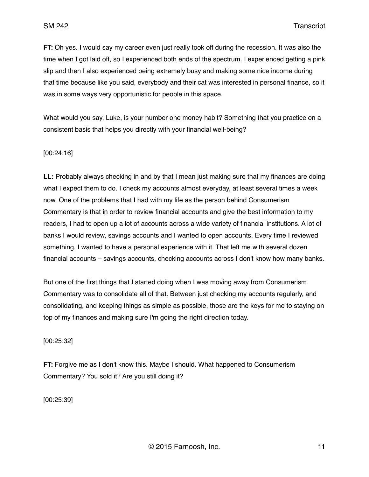**FT:** Oh yes. I would say my career even just really took off during the recession. It was also the time when I got laid off, so I experienced both ends of the spectrum. I experienced getting a pink slip and then I also experienced being extremely busy and making some nice income during that time because like you said, everybody and their cat was interested in personal finance, so it was in some ways very opportunistic for people in this space.

What would you say, Luke, is your number one money habit? Something that you practice on a consistent basis that helps you directly with your financial well-being?

#### [00:24:16]

**LL:** Probably always checking in and by that I mean just making sure that my finances are doing what I expect them to do. I check my accounts almost everyday, at least several times a week now. One of the problems that I had with my life as the person behind Consumerism Commentary is that in order to review financial accounts and give the best information to my readers, I had to open up a lot of accounts across a wide variety of financial institutions. A lot of banks I would review, savings accounts and I wanted to open accounts. Every time I reviewed something, I wanted to have a personal experience with it. That left me with several dozen financial accounts – savings accounts, checking accounts across I don't know how many banks.

But one of the first things that I started doing when I was moving away from Consumerism Commentary was to consolidate all of that. Between just checking my accounts regularly, and consolidating, and keeping things as simple as possible, those are the keys for me to staying on top of my finances and making sure I'm going the right direction today.

[00:25:32]

**FT:** Forgive me as I don't know this. Maybe I should. What happened to Consumerism Commentary? You sold it? Are you still doing it?

[00:25:39]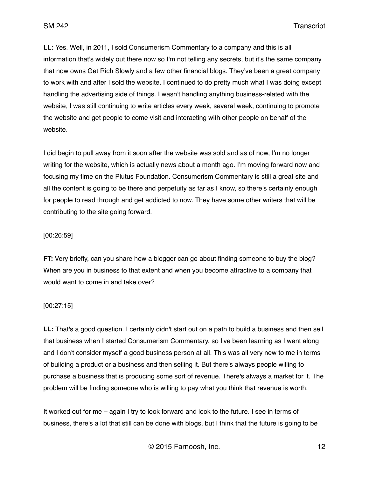**LL:** Yes. Well, in 2011, I sold Consumerism Commentary to a company and this is all information that's widely out there now so I'm not telling any secrets, but it's the same company that now owns Get Rich Slowly and a few other financial blogs. They've been a great company to work with and after I sold the website, I continued to do pretty much what I was doing except handling the advertising side of things. I wasn't handling anything business-related with the website, I was still continuing to write articles every week, several week, continuing to promote the website and get people to come visit and interacting with other people on behalf of the website.

I did begin to pull away from it soon after the website was sold and as of now, I'm no longer writing for the website, which is actually news about a month ago. I'm moving forward now and focusing my time on the Plutus Foundation. Consumerism Commentary is still a great site and all the content is going to be there and perpetuity as far as I know, so there's certainly enough for people to read through and get addicted to now. They have some other writers that will be contributing to the site going forward.

#### [00:26:59]

**FT:** Very briefly, can you share how a blogger can go about finding someone to buy the blog? When are you in business to that extent and when you become attractive to a company that would want to come in and take over?

#### [00:27:15]

**LL:** That's a good question. I certainly didn't start out on a path to build a business and then sell that business when I started Consumerism Commentary, so I've been learning as I went along and I don't consider myself a good business person at all. This was all very new to me in terms of building a product or a business and then selling it. But there's always people willing to purchase a business that is producing some sort of revenue. There's always a market for it. The problem will be finding someone who is willing to pay what you think that revenue is worth.

It worked out for me – again I try to look forward and look to the future. I see in terms of business, there's a lot that still can be done with blogs, but I think that the future is going to be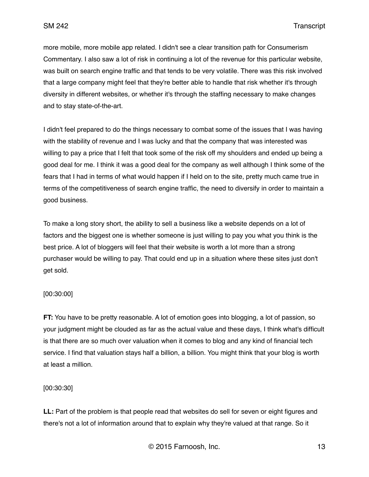more mobile, more mobile app related. I didn't see a clear transition path for Consumerism Commentary. I also saw a lot of risk in continuing a lot of the revenue for this particular website, was built on search engine traffic and that tends to be very volatile. There was this risk involved that a large company might feel that they're better able to handle that risk whether it's through diversity in different websites, or whether it's through the staffing necessary to make changes and to stay state-of-the-art.

I didn't feel prepared to do the things necessary to combat some of the issues that I was having with the stability of revenue and I was lucky and that the company that was interested was willing to pay a price that I felt that took some of the risk off my shoulders and ended up being a good deal for me. I think it was a good deal for the company as well although I think some of the fears that I had in terms of what would happen if I held on to the site, pretty much came true in terms of the competitiveness of search engine traffic, the need to diversify in order to maintain a good business.

To make a long story short, the ability to sell a business like a website depends on a lot of factors and the biggest one is whether someone is just willing to pay you what you think is the best price. A lot of bloggers will feel that their website is worth a lot more than a strong purchaser would be willing to pay. That could end up in a situation where these sites just don't get sold.

## [00:30:00]

**FT:** You have to be pretty reasonable. A lot of emotion goes into blogging, a lot of passion, so your judgment might be clouded as far as the actual value and these days, I think what's difficult is that there are so much over valuation when it comes to blog and any kind of financial tech service. I find that valuation stays half a billion, a billion. You might think that your blog is worth at least a million.

## [00:30:30]

**LL:** Part of the problem is that people read that websites do sell for seven or eight figures and there's not a lot of information around that to explain why they're valued at that range. So it

© 2015 Farnoosh, Inc. 13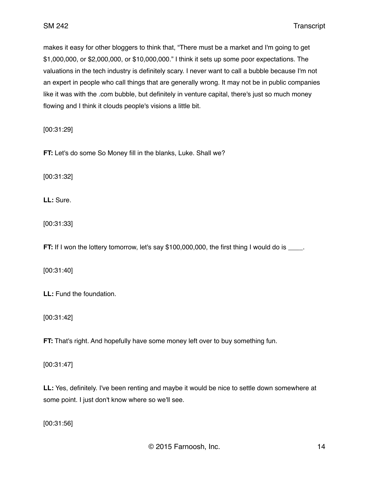makes it easy for other bloggers to think that, "There must be a market and I'm going to get \$1,000,000, or \$2,000,000, or \$10,000,000." I think it sets up some poor expectations. The valuations in the tech industry is definitely scary. I never want to call a bubble because I'm not an expert in people who call things that are generally wrong. It may not be in public companies like it was with the .com bubble, but definitely in venture capital, there's just so much money flowing and I think it clouds people's visions a little bit.

[00:31:29]

**FT:** Let's do some So Money fill in the blanks, Luke. Shall we?

[00:31:32]

**LL:** Sure.

[00:31:33]

**FT:** If I won the lottery tomorrow, let's say \$100,000,000, the first thing I would do is \_\_\_\_.

[00:31:40]

**LL:** Fund the foundation.

[00:31:42]

**FT:** That's right. And hopefully have some money left over to buy something fun.

[00:31:47]

**LL:** Yes, definitely. I've been renting and maybe it would be nice to settle down somewhere at some point. I just don't know where so we'll see.

[00:31:56]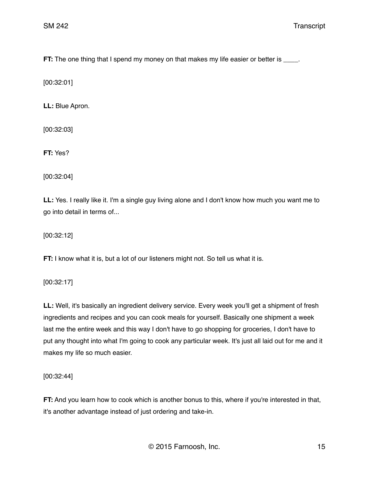**FT:** The one thing that I spend my money on that makes my life easier or better is \_\_\_\_.

[00:32:01]

**LL:** Blue Apron.

[00:32:03]

**FT:** Yes?

[00:32:04]

**LL:** Yes. I really like it. I'm a single guy living alone and I don't know how much you want me to go into detail in terms of...

[00:32:12]

**FT:** I know what it is, but a lot of our listeners might not. So tell us what it is.

[00:32:17]

**LL:** Well, it's basically an ingredient delivery service. Every week you'll get a shipment of fresh ingredients and recipes and you can cook meals for yourself. Basically one shipment a week last me the entire week and this way I don't have to go shopping for groceries, I don't have to put any thought into what I'm going to cook any particular week. It's just all laid out for me and it makes my life so much easier.

[00:32:44]

**FT:** And you learn how to cook which is another bonus to this, where if you're interested in that, it's another advantage instead of just ordering and take-in.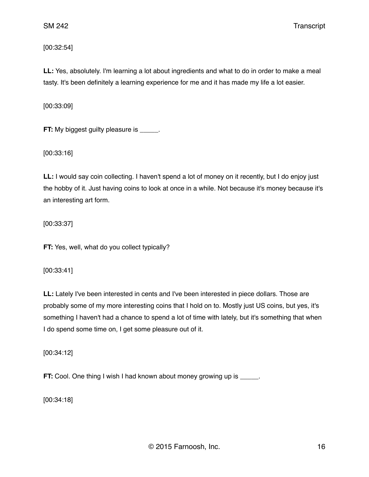[00:32:54]

**LL:** Yes, absolutely. I'm learning a lot about ingredients and what to do in order to make a meal tasty. It's been definitely a learning experience for me and it has made my life a lot easier.

[00:33:09]

**FT:** My biggest guilty pleasure is \_\_\_\_\_.

[00:33:16]

**LL:** I would say coin collecting. I haven't spend a lot of money on it recently, but I do enjoy just the hobby of it. Just having coins to look at once in a while. Not because it's money because it's an interesting art form.

[00:33:37]

**FT:** Yes, well, what do you collect typically?

[00:33:41]

**LL:** Lately I've been interested in cents and I've been interested in piece dollars. Those are probably some of my more interesting coins that I hold on to. Mostly just US coins, but yes, it's something I haven't had a chance to spend a lot of time with lately, but it's something that when I do spend some time on, I get some pleasure out of it.

[00:34:12]

**FT:** Cool. One thing I wish I had known about money growing up is \_\_\_\_\_.

[00:34:18]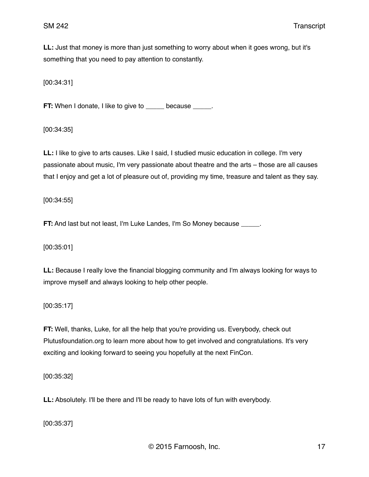**LL:** Just that money is more than just something to worry about when it goes wrong, but it's something that you need to pay attention to constantly.

[00:34:31]

**FT:** When I donate, I like to give to \_\_\_\_\_ because \_\_\_\_\_.

[00:34:35]

**LL:** I like to give to arts causes. Like I said, I studied music education in college. I'm very passionate about music, I'm very passionate about theatre and the arts – those are all causes that I enjoy and get a lot of pleasure out of, providing my time, treasure and talent as they say.

[00:34:55]

**FT:** And last but not least, I'm Luke Landes, I'm So Money because \_\_\_\_\_.

[00:35:01]

**LL:** Because I really love the financial blogging community and I'm always looking for ways to improve myself and always looking to help other people.

[00:35:17]

**FT:** Well, thanks, Luke, for all the help that you're providing us. Everybody, check out Plutusfoundation.org to learn more about how to get involved and congratulations. It's very exciting and looking forward to seeing you hopefully at the next FinCon.

[00:35:32]

**LL:** Absolutely. I'll be there and I'll be ready to have lots of fun with everybody.

[00:35:37]